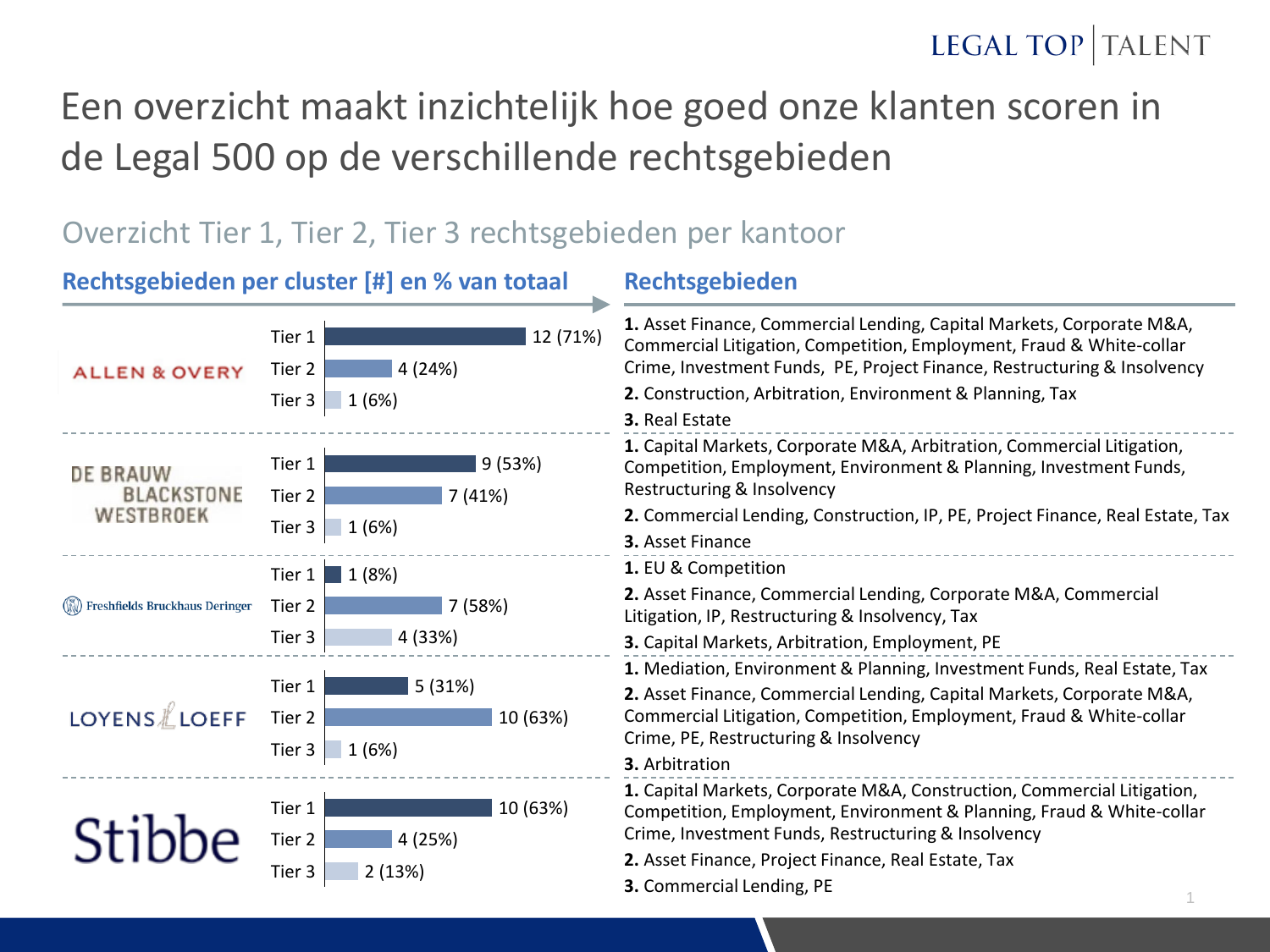### Een overzicht maakt inzichtelijk hoe goed onze klanten scoren in de Legal 500 op de verschillende rechtsgebieden

#### Overzicht Tier 1, Tier 2, Tier 3 rechtsgebieden per kantoor

|                                    | Rechtsgebieden per cluster [#] en % van totaal              | Rechtsgebieden                                                                                                                                                                                                                                                                              |  |  |  |
|------------------------------------|-------------------------------------------------------------|---------------------------------------------------------------------------------------------------------------------------------------------------------------------------------------------------------------------------------------------------------------------------------------------|--|--|--|
| <b>ALLEN &amp; OVERY</b>           | 12 (71%)<br>Tier 1<br>4 (24%)<br>Tier 2<br>1(6%)<br>Tier 3  | 1. Asset Finance, Commercial Lending, Capital Markets, Corporate M&A,<br>Commercial Litigation, Competition, Employment, Fraud & White-collar<br>Crime, Investment Funds, PE, Project Finance, Restructuring & Insolvency<br>2. Construction, Arbitration, Environment & Planning, Tax      |  |  |  |
| DE BRAUW<br><b>BLACKSTONE</b>      | 9(53%)<br>Tier 1<br>7(41%)<br>Tier 2                        | 3. Real Estate<br>1. Capital Markets, Corporate M&A, Arbitration, Commercial Litigation,<br>Competition, Employment, Environment & Planning, Investment Funds,<br>Restructuring & Insolvency                                                                                                |  |  |  |
| WESTBROEK                          | 1(6%)<br>Tier 3                                             | 2. Commercial Lending, Construction, IP, PE, Project Finance, Real Estate, Tax<br>3. Asset Finance                                                                                                                                                                                          |  |  |  |
| (W) Freshfields Bruckhaus Deringer | 1(8%)<br>Tier 1<br>7 (58%)<br>Tier 2<br>4 (33%)<br>Tier 3   | 1. EU & Competition<br>2. Asset Finance, Commercial Lending, Corporate M&A, Commercial<br>Litigation, IP, Restructuring & Insolvency, Tax<br>3. Capital Markets, Arbitration, Employment, PE                                                                                                |  |  |  |
| <b>LOYENS</b> LOEFF                | Tier 1<br>5(31%)<br>Tier 2<br>10 (63%)<br>1(6%)<br>Tier 3   | 1. Mediation, Environment & Planning, Investment Funds, Real Estate, Tax<br>2. Asset Finance, Commercial Lending, Capital Markets, Corporate M&A,<br>Commercial Litigation, Competition, Employment, Fraud & White-collar<br>Crime, PE, Restructuring & Insolvency<br>3. Arbitration        |  |  |  |
|                                    | 10 (63%)<br>Tier 1<br>4 (25%)<br>Tier 2<br>Tier 3<br>2(13%) | 1. Capital Markets, Corporate M&A, Construction, Commercial Litigation,<br>Competition, Employment, Environment & Planning, Fraud & White-collar<br>Crime, Investment Funds, Restructuring & Insolvency<br>2. Asset Finance, Project Finance, Real Estate, Tax<br>3. Commercial Lending, PE |  |  |  |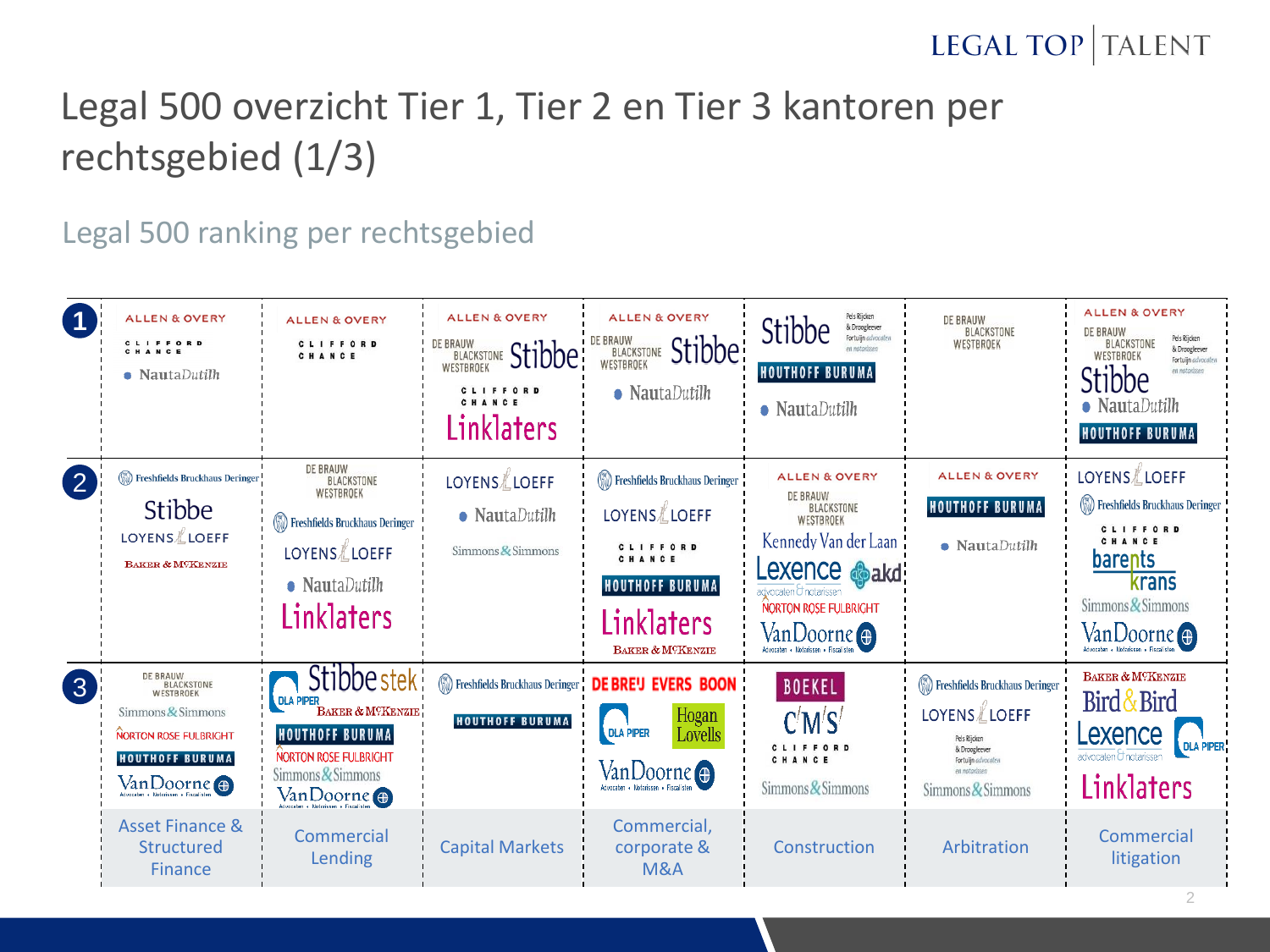# Legal 500 overzicht Tier 1, Tier 2 en Tier 3 kantoren per rechtsgebied (1/3)

Legal 500 ranking per rechtsgebied

|                    | <b>ALLEN &amp; OVERY</b><br>CLIFFORD<br>CHANCE<br>$\bullet$ NautaDutilh                                                                  | <b>ALLEN &amp; OVERY</b><br>CLIFFORD<br>CHANCE                                                                                                            | <b>ALLEN &amp; OVERY</b><br>DE BRAUW BLACKSTONE Stibbe<br>CLIFFORD<br>CHANCE<br>Linklaters | <b>ALLEN &amp; OVERY</b><br>DE BRAUW BLACKSTONE Stibbe<br>$\bullet$ NautaDutilh                                                  | Pels Rijcken<br>Stibbe<br>& Droogleever<br>Fortuijn advocaten<br>en nataelcoe<br><b>HOUTHOFF BURUMA</b><br>$\bullet$ NautaDutilh                                                                  | DE BRAUW<br>BLACKSTONE<br>WESTBROEK                                                                                                                               | <b>ALLEN &amp; OVERY</b><br><b>DE BRAUW</b><br>Pels Rijcken<br>BLACKSTONE<br>& Droogleever<br>WESTBROEK<br>Fortuijn advocaten<br>Stibbe<br>en natarissen<br>• NautaDutilh<br><b>HOUTHOFF BURUMA</b> |
|--------------------|------------------------------------------------------------------------------------------------------------------------------------------|-----------------------------------------------------------------------------------------------------------------------------------------------------------|--------------------------------------------------------------------------------------------|----------------------------------------------------------------------------------------------------------------------------------|---------------------------------------------------------------------------------------------------------------------------------------------------------------------------------------------------|-------------------------------------------------------------------------------------------------------------------------------------------------------------------|-----------------------------------------------------------------------------------------------------------------------------------------------------------------------------------------------------|
| $\overline{2}$     | Freshfields Bruckhaus Deringer<br>Stibbe<br>LOYENS LOEFF<br><b>BAKER &amp; MCKENZIE</b>                                                  | DE BRAUW<br>BLACKSTONE<br>WESTBROEK<br>(W) Freshfields Bruckhaus Deringer<br>LOYENS LOEFF<br>$\bullet$ NautaDutilh<br><b>Linklaters</b>                   | LOYENS LOEFF<br>$\bullet$ NautaDutilh<br>Simmons $\&$ Simmons                              | Freshfields Bruckhaus Deringer<br>LOYENS LOEFF<br>CLIFFORD<br>CHANCE<br><b>HOUTHOFF BURUMA</b><br>Linklaters<br>BAKER & M?KENZIE | <b>ALLEN &amp; OVERY</b><br><b>DE BRAUW</b><br>BLACKSTONE<br>WESTBROEK<br>Kennedy Van der Laan +<br>Lexence <b>Sakd</b> :<br>dvocaten O notarissen<br><b>NORTON ROSE FULBRIGHT</b><br>VanDoorne ⊕ | <b>ALLEN &amp; OVERY</b><br><b>HOUTHOFF BURUMA</b><br>$\bullet$ NautaDutilh                                                                                       | LOYENS <i></i> ∦LOEFF<br>(S) Freshfields Bruckhaus Deringer<br>CLIFFORD<br>CHANCE<br>barents<br>krans<br>Simmons & Simmons<br>VanDoorne <del>@</del>                                                |
| $\left( 3 \right)$ | <b>DE BRAUW</b><br>BLACKSTONE<br>WESTBROEK<br>Simmons & Simmons<br><b>NORTON ROSE FULBRIGHT</b><br><b>HOUTHOFF BURUMA</b><br>VanDoorne o | Stibbe stek<br><b>DLA PIPER</b><br>BAKER & MOKENZIE<br><b>HOUTHOFF BURUMA</b><br><b>NORTON ROSE FULBRIGHT</b><br>Simmons & Simmons<br>$Van Doorne \oplus$ | <b>HOUTHOFF BURUMA</b>                                                                     | <b>We Freshfields Bruckhaus Deringer</b> DE BREU EVERS BOON<br>Hogan<br>Lovells<br><b>DLA PIPER</b><br>VanDoorne <sup>O</sup>    | <b>BOEKEL</b><br>C'M'S'<br>CLIFFORD<br>CHANCE<br>Simmons & Simmons                                                                                                                                | (N) Freshfields Bruckhaus Deringer<br><b>LOYENS</b> <i>L</i> OEFF<br>Pels Riicken<br>& Droogleever<br>Fortuijn advocaten<br>en notarissen<br>Simmons $\&$ Simmons | BAKER & MCKENZIE<br>Bird & Bird<br>Lexence<br><b>DLA PIPER</b><br>advocaten O notarissen<br>Linklaters                                                                                              |
|                    | <b>Asset Finance &amp;</b><br>Structured<br><b>Finance</b>                                                                               | Commercial<br>Lending                                                                                                                                     | <b>Capital Markets</b>                                                                     | Commercial,<br>corporate &<br><b>M&amp;A</b>                                                                                     | Construction                                                                                                                                                                                      | Arbitration                                                                                                                                                       | Commercial<br>litigation                                                                                                                                                                            |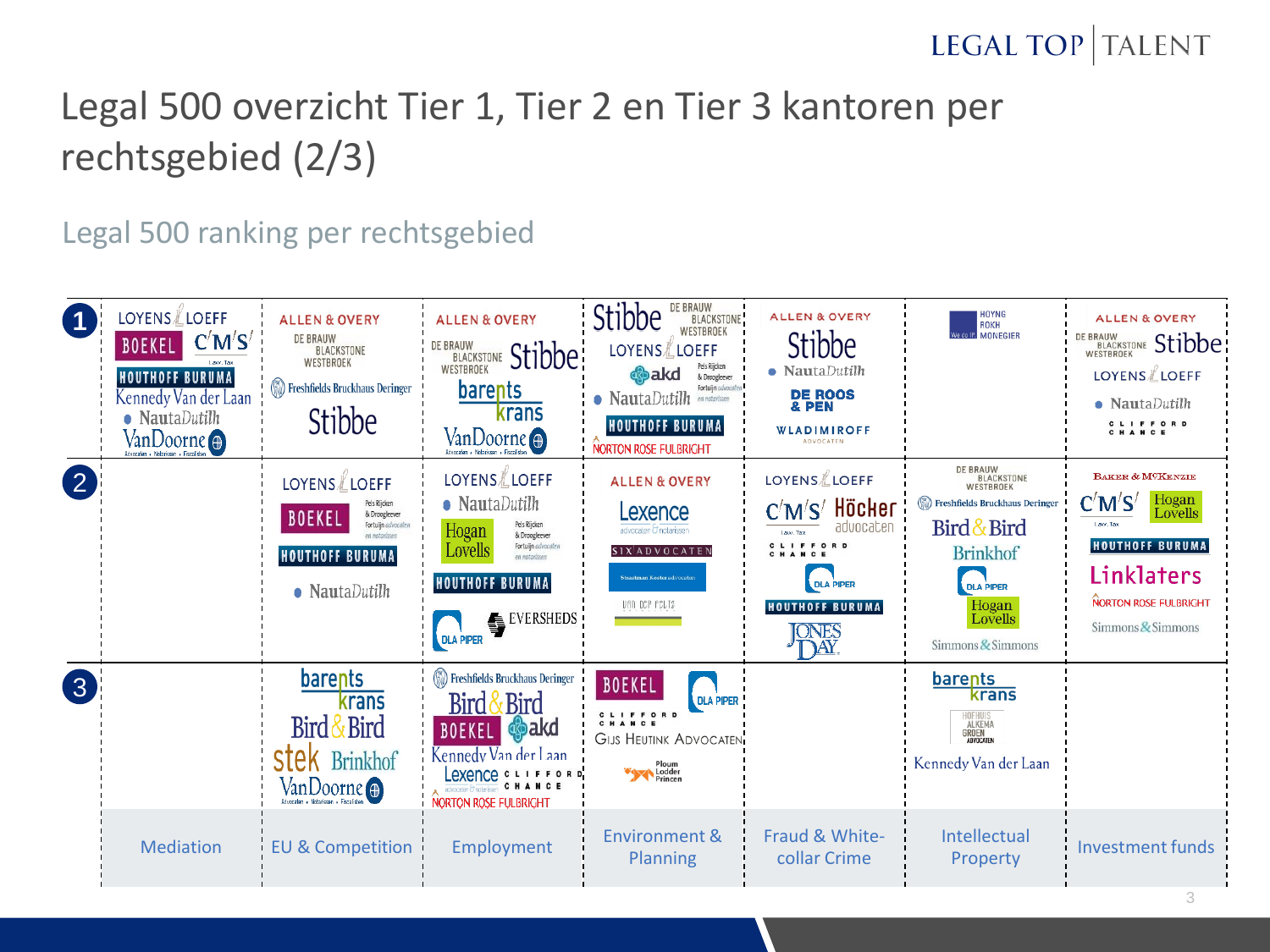# Legal 500 overzicht Tier 1, Tier 2 en Tier 3 kantoren per rechtsgebied (2/3)

Legal 500 ranking per rechtsgebied

|                    | LOYENS∦LOEFF<br>C'M'S'<br><b>BOEKEL</b><br><b>HOUTHOFF BURUMA</b><br>Kennedy Van der Laan<br>$\bullet$ NautaDutilh<br>Van Doorne | <b>ALLEN &amp; OVERY</b><br><b>DE BRAUW</b><br>BLACKSTONE<br>WESTBROEK<br>(S) Freshfields Bruckhaus Deringer<br>Stibbe                                                   | <b>ALLEN &amp; OVERY</b><br>DE BRAUW BLACKSTONE Stibbe<br>barents<br>krans<br>VanDoorne <sup>4</sup>                                                                                                        | DE BRAUW<br>Stibbe<br>BLACKSTONE<br>WESTBROEK<br>LOYENS LOEFF<br>Pels Rijcken<br><b>o</b> bakd<br>& Droogleever<br>Fortuijn advocaten<br>$\bullet$ NautaDutilh<br>en notarissen<br><b>HOUTHOFF BURUMA</b><br>NORTON ROSE FULBRIGHT | <b>ALLEN &amp; OVERY</b><br>Stibbe<br>$\bullet$ NautaDutilh<br><b>DE ROOS</b><br>& PEN<br><b>WLADIMIROFF</b><br><b>ADVOCATEN</b>            | <b>HOYNG</b><br>ROKH<br>We do IP. MONEGIER                                                                                                                                  | <b>ALLEN &amp; OVERY</b><br>DE BRAUW BLACKSTONE Stibbe<br>LOYENS LOEFF<br>$\bullet$ NautaDutilh<br><b>CLIFFORD</b><br>CHANCE                                       |
|--------------------|----------------------------------------------------------------------------------------------------------------------------------|--------------------------------------------------------------------------------------------------------------------------------------------------------------------------|-------------------------------------------------------------------------------------------------------------------------------------------------------------------------------------------------------------|------------------------------------------------------------------------------------------------------------------------------------------------------------------------------------------------------------------------------------|---------------------------------------------------------------------------------------------------------------------------------------------|-----------------------------------------------------------------------------------------------------------------------------------------------------------------------------|--------------------------------------------------------------------------------------------------------------------------------------------------------------------|
| $\left( 2\right)$  |                                                                                                                                  | <b>LOYENS</b> <i>L</i> LOEFF<br>Pels Rijcken<br>& Droogleever<br><b>BOEKEL</b><br>Fortuijn advocaten<br>en natarisser<br><b>HOUTHOFF BURUMA</b><br>$\bullet$ NautaDutilh | <b>LOYENS</b> <i>L</i> LOEFF<br>• NautaDutilh<br>Pels Rijcken<br>Hogan<br>& Droogleever<br>Fortuijn advocater<br><b>Lovells</b><br>en notarissen<br><b>HOUTHOFF BURUMA</b><br><b>EVERSHEDS</b><br>DLA PIPER | <b>ALLEN &amp; OVERY</b><br>Lexence<br>advocaten Chotarissen<br>SIX <sup> </sup> ADVOCATEN<br>Straatman Koster advocaten<br>UAN DCP FCLTZ                                                                                          | <b>LOYENS</b> LOEFF<br>C'M'S' Höcker<br>advocaten<br>CLIFFORD<br>CHANCE<br><b>DLA PIPER</b><br><b>HOUTHOFF BURUMA</b><br><b>ONES</b><br>JÄÝ | DE BRAUW<br>BLACKSTONE<br>WESTBROEK<br>(N) Freshfields Bruckhaus Deringer<br>Bird & Bird<br><b>Brinkhof</b><br><b>DLA PIPER</b><br>Hogan<br>Lovells<br>Simmons $\&$ Simmons | <b>BAKER &amp; MCKENZIE</b><br>C'M'S'<br>Hogan<br>Lovells<br>Law. Tax<br><b>HOUTHOFF BURUMA</b><br>Linklaters<br><b>NORTON ROSE FULBRIGHT</b><br>Simmons & Simmons |
| $\left( 3 \right)$ |                                                                                                                                  | barents<br>krans<br>Bird & Bird<br><b>STEK</b> Brinkhof<br>Van Doorne                                                                                                    | (W) Freshfields Bruckhaus Deringer<br>Bird & Bird<br><b>BOEKEL S</b> akd<br>Kennedy Van der Laan<br>Lexence CLIFFORD<br>advocaten Chotarissen C H A N C E<br><b>NORTON ROSE FULBRIGHT</b>                   | <b>BOEKEL</b><br><b>DLA PIPER</b><br><b>CLIFFORD</b><br>CHANCE<br><b>GIJS HEUTINK ADVOCATEN</b><br>Ploum<br>Lodder<br>Princen                                                                                                      |                                                                                                                                             | barents<br>krans<br>IOFHUIS<br>ALKEMA<br><b>GROEN</b><br>Kennedy Van der Laan                                                                                               |                                                                                                                                                                    |
|                    | <b>Mediation</b>                                                                                                                 | <b>EU &amp; Competition</b>                                                                                                                                              | Employment                                                                                                                                                                                                  | Environment &<br>Planning                                                                                                                                                                                                          | Fraud & White-<br>collar Crime                                                                                                              | Intellectual<br>Property                                                                                                                                                    | <b>Investment funds</b>                                                                                                                                            |